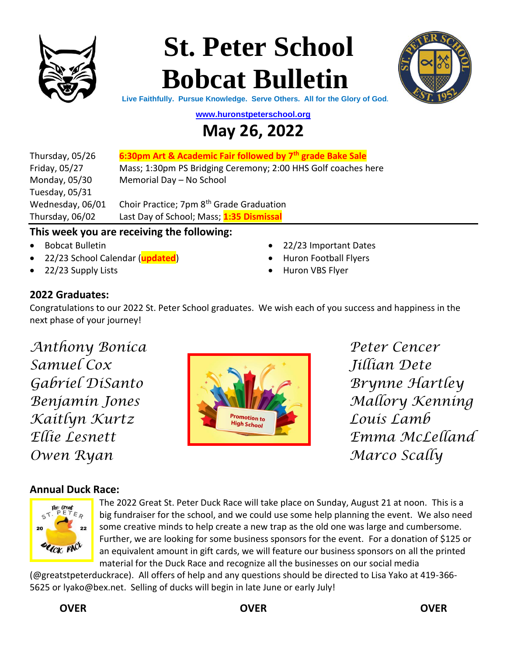

# **St. Peter School Bobcat Bulletin**



**Live Faithfully. Pursue Knowledge. Serve Others. All for the Glory of God.**

**[www.huronstpeterschool.org](http://www.huronstpeterschool.org/)**

### **May 26, 2022**

| Thursday, 05/26  | 6:30pm Art & Academic Fair followed by 7 <sup>th</sup> grade Bake Sale |
|------------------|------------------------------------------------------------------------|
| Friday, 05/27    | Mass; 1:30pm PS Bridging Ceremony; 2:00 HHS Golf coaches here          |
| Monday, 05/30    | Memorial Day - No School                                               |
| Tuesday, 05/31   |                                                                        |
| Wednesday, 06/01 | Choir Practice; 7pm 8 <sup>th</sup> Grade Graduation                   |
| Thursday, 06/02  | Last Day of School; Mass; 1:35 Dismissal                               |

#### **This week you are receiving the following:**

- Bobcat Bulletin
- 22/23 School Calendar (**updated**)
- 22/23 Supply Lists
- 22/23 Important Dates
- Huron Football Flyers
- Huron VBS Flyer

#### **2022 Graduates:**

Congratulations to our 2022 St. Peter School graduates. We wish each of you success and happiness in the next phase of your journey!

*Anthony Bonica Peter Cencer Owen Ryan Marco Scally*



#### **Annual Duck Race:**



The 2022 Great St. Peter Duck Race will take place on Sunday, August 21 at noon. This is a big fundraiser for the school, and we could use some help planning the event. We also need some creative minds to help create a new trap as the old one was large and cumbersome. Further, we are looking for some business sponsors for the event. For a donation of \$125 or an equivalent amount in gift cards, we will feature our business sponsors on all the printed material for the Duck Race and recognize all the businesses on our social media

(@greatstpeterduckrace). All offers of help and any questions should be directed to Lisa Yako at 419-366- 5625 or [lyako@bex.net.](mailto:lyako@bex.net) Selling of ducks will begin in late June or early July!

#### **OVER OVER OVER**